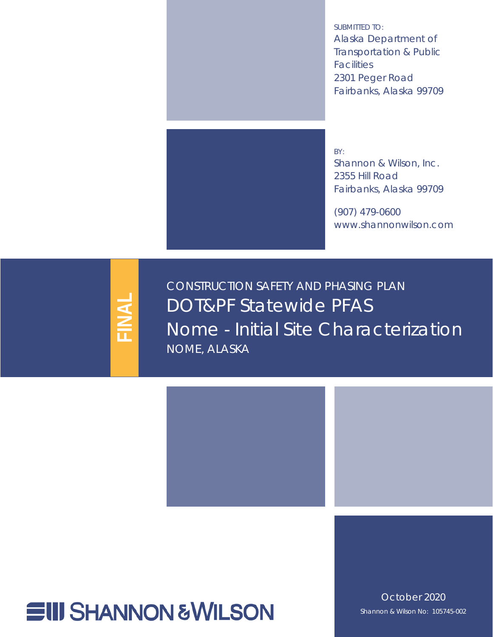<span id="page-0-6"></span><span id="page-0-5"></span><span id="page-0-4"></span>SUBMITTED TO: Alaska Department of Transportation & Public **Facilities** 2301 Peger Road Fairbanks, Alaska 99709



BY: Shannon & Wilson, Inc. 2355 Hill Road Fairbanks, Alaska 99709

(907) 479-0600 www.shannonwilson.com

<span id="page-0-1"></span>**FINAL**

<span id="page-0-7"></span><span id="page-0-2"></span><span id="page-0-0"></span>CONSTRUCTION SAFETY AND PHASING PLAN DOT&PF Statewide PFAS Nome - Initial Site Characterization NOME, ALASKA



<span id="page-0-3"></span>October 2020 Shannon & Wilson No: 105745-002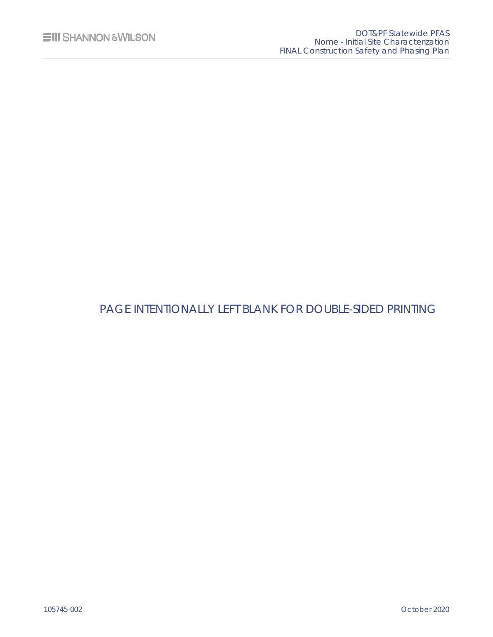## PAGE INTENTIONALLY LEFT BLANK FOR DOUBLE-SIDED PRINTING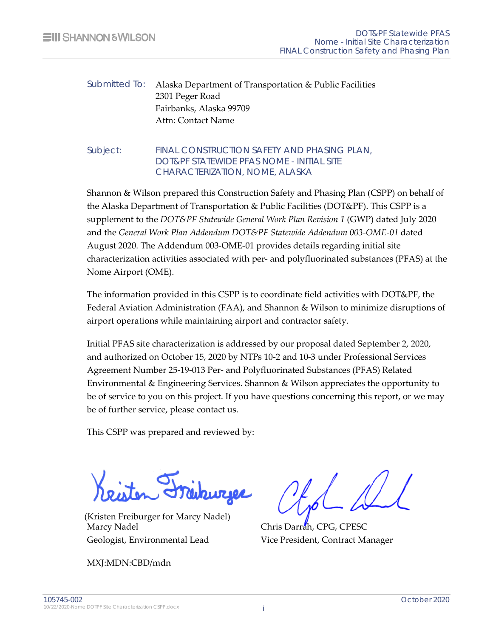### Submitted To: [Alaska Department of Transportation & Public Facilities](#page-0-4) [2301 Peger Road](#page-0-5)  [Fairbanks, Alaska 99709](#page-0-6)  Attn: Contact Name

#### Subject: [FINAL](#page-0-1) [CONSTRUCTION SAFETY](#page-0-2) AND PHASING PLAN[,](#page-0-0)  DOT&PF STATEWIDE PFAS [NOME - INITIAL SITE](#page-0-0)  [CHARACTERIZATION, NOME, ALASKA](#page-0-0)

Shannon & Wilson prepared this Construction Safety and Phasing Plan (CSPP) on behalf of the Alaska Department of Transportation & Public Facilities (DOT&PF). This CSPP is a supplement to the *DOT&PF Statewide General Work Plan Revision 1* (GWP) dated July 2020 and the *General Work Plan Addendum DOT&PF Statewide Addendum 003-OME-01* dated August 2020. The Addendum 003-OME-01 provides details regarding initial site characterization activities associated with per- and polyfluorinated substances (PFAS) at the Nome Airport (OME).

The information provided in this CSPP is to coordinate field activities with DOT&PF, the Federal Aviation Administration (FAA), and Shannon & Wilson to minimize disruptions of airport operations while maintaining airport and contractor safety.

Initial PFAS site characterization is addressed by our proposal dated September 2, 2020, and authorized on October 15, 2020 by NTPs 10-2 and 10-3 under Professional Services Agreement Number 25-19-013 Per- and Polyfluorinated Substances (PFAS) Related Environmental & Engineering Services. Shannon & Wilson appreciates the opportunity to be of service to you on this project. If you have questions concerning this report, or we may be of further service, please contact us.

This CSPP was prepared and reviewed by:

Marcy Nadel Chris Darrah, CPG, CPESC Geologist, Environmental Lead Vice President, Contract Manager (Kristen Freiburger for Marcy Nadel)

MXJ:MDN:CBD/mdn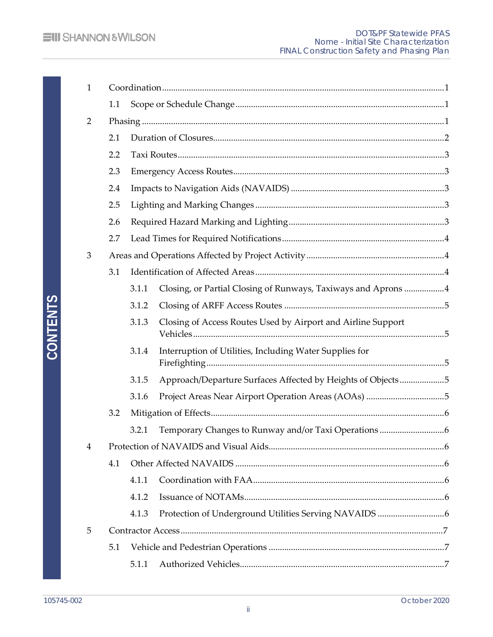| $\mathbf{1}$   |     |       |                                                               |  |
|----------------|-----|-------|---------------------------------------------------------------|--|
|                | 1.1 |       |                                                               |  |
| 2              |     |       |                                                               |  |
|                | 2.1 |       |                                                               |  |
|                | 2.2 |       |                                                               |  |
|                | 2.3 |       |                                                               |  |
|                | 2.4 |       |                                                               |  |
|                | 2.5 |       |                                                               |  |
|                | 2.6 |       |                                                               |  |
|                | 2.7 |       |                                                               |  |
| 3              |     |       |                                                               |  |
|                | 3.1 |       |                                                               |  |
|                |     | 3.1.1 | Closing, or Partial Closing of Runways, Taxiways and Aprons 4 |  |
|                |     | 3.1.2 | $\label{eq:3} \textbf{Closing of ARFF Access Routers}\xspace$ |  |
|                |     | 3.1.3 | Closing of Access Routes Used by Airport and Airline Support  |  |
|                |     | 3.1.4 | Interruption of Utilities, Including Water Supplies for       |  |
|                |     | 3.1.5 | Approach/Departure Surfaces Affected by Heights of Objects5   |  |
|                |     | 3.1.6 |                                                               |  |
|                | 3.2 |       |                                                               |  |
|                |     | 3.2.1 |                                                               |  |
| $\overline{4}$ |     |       |                                                               |  |
|                | 4.1 |       |                                                               |  |
|                |     | 4.1.1 |                                                               |  |
|                |     | 4.1.2 |                                                               |  |
|                |     | 4.1.3 |                                                               |  |
| 5              |     |       |                                                               |  |
|                | 5.1 |       |                                                               |  |
|                |     | 5.1.1 |                                                               |  |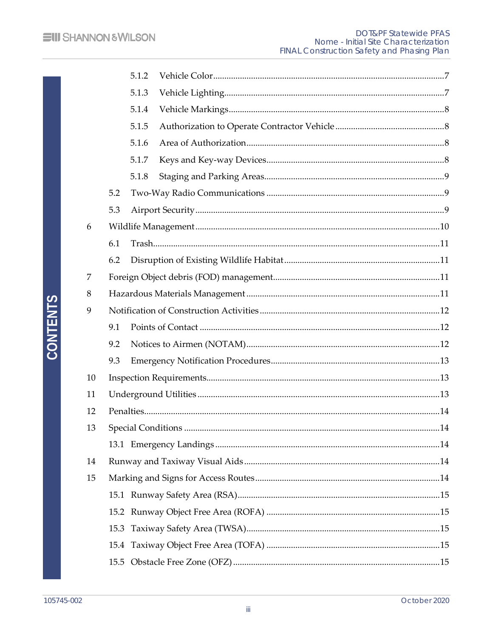|    |      | 5.1.2 |                     |     |  |
|----|------|-------|---------------------|-----|--|
|    |      | 5.1.3 |                     |     |  |
|    |      | 5.1.4 |                     |     |  |
|    |      | 5.1.5 |                     |     |  |
|    |      | 5.1.6 |                     |     |  |
|    |      | 5.1.7 |                     |     |  |
|    |      | 5.1.8 |                     |     |  |
|    | 5.2  |       |                     |     |  |
|    | 5.3  |       |                     |     |  |
| 6  |      |       |                     |     |  |
|    | 6.1  |       |                     |     |  |
|    | 6.2  |       |                     |     |  |
| 7  |      |       |                     |     |  |
| 8  |      |       |                     |     |  |
| 9  |      |       |                     |     |  |
|    | 9.1  |       |                     |     |  |
|    | 9.2  |       |                     |     |  |
|    | 9.3  |       |                     |     |  |
| 10 |      |       |                     |     |  |
| 11 |      |       |                     |     |  |
| 12 |      |       |                     |     |  |
| 13 |      |       | Special Conditions. | .14 |  |
|    |      |       |                     |     |  |
| 14 |      |       |                     |     |  |
| 15 |      |       |                     |     |  |
|    |      |       |                     |     |  |
|    |      |       |                     |     |  |
|    |      |       |                     |     |  |
|    |      |       |                     |     |  |
|    | 15.5 |       |                     |     |  |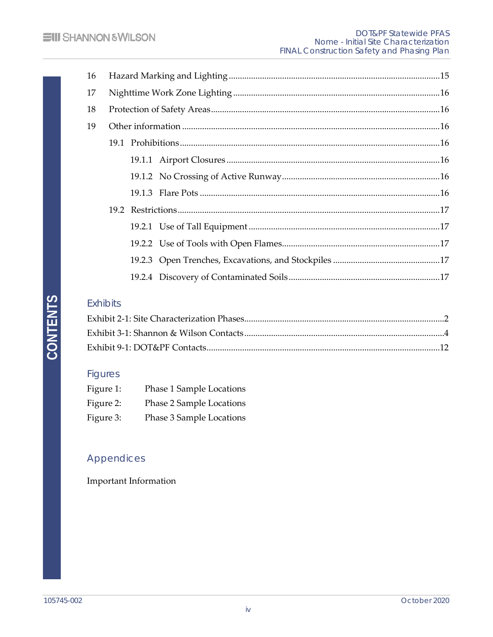## Exhibits

## Figures

| Figure 1: | Phase 1 Sample Locations |
|-----------|--------------------------|
| Figure 2: | Phase 2 Sample Locations |
| Figure 3: | Phase 3 Sample Locations |

## Appendices

Important Information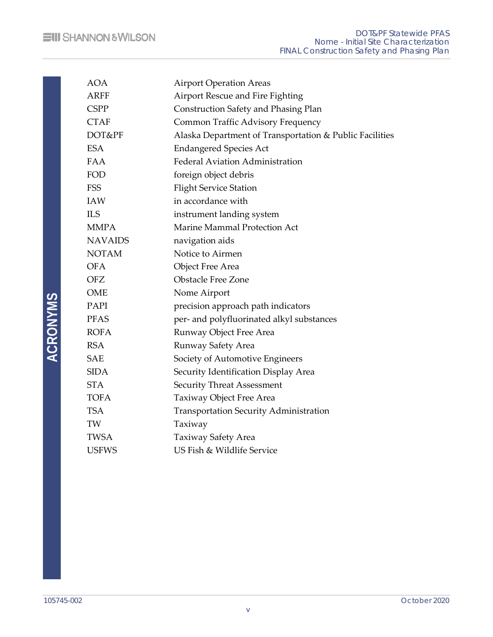| <b>AOA</b>     | <b>Airport Operation Areas</b>                          |
|----------------|---------------------------------------------------------|
| <b>ARFF</b>    | Airport Rescue and Fire Fighting                        |
| <b>CSPP</b>    | Construction Safety and Phasing Plan                    |
| <b>CTAF</b>    | Common Traffic Advisory Frequency                       |
| DOT&PF         | Alaska Department of Transportation & Public Facilities |
| <b>ESA</b>     | <b>Endangered Species Act</b>                           |
| <b>FAA</b>     | <b>Federal Aviation Administration</b>                  |
| FOD            | foreign object debris                                   |
| <b>FSS</b>     | <b>Flight Service Station</b>                           |
| <b>IAW</b>     | in accordance with                                      |
| <b>ILS</b>     | instrument landing system                               |
| <b>MMPA</b>    | Marine Mammal Protection Act                            |
| <b>NAVAIDS</b> | navigation aids                                         |
| <b>NOTAM</b>   | Notice to Airmen                                        |
| <b>OFA</b>     | <b>Object Free Area</b>                                 |
| <b>OFZ</b>     | <b>Obstacle Free Zone</b>                               |
| <b>OME</b>     | Nome Airport                                            |
| PAPI           | precision approach path indicators                      |
| <b>PFAS</b>    | per- and polyfluorinated alkyl substances               |
| <b>ROFA</b>    | Runway Object Free Area                                 |
| <b>RSA</b>     | Runway Safety Area                                      |
| <b>SAE</b>     | Society of Automotive Engineers                         |
| <b>SIDA</b>    | Security Identification Display Area                    |
| <b>STA</b>     | <b>Security Threat Assessment</b>                       |
| <b>TOFA</b>    | Taxiway Object Free Area                                |
| <b>TSA</b>     | Transportation Security Administration                  |
| TW             | Taxiway                                                 |
| <b>TWSA</b>    | Taxiway Safety Area                                     |
| <b>USFWS</b>   | US Fish & Wildlife Service                              |
|                |                                                         |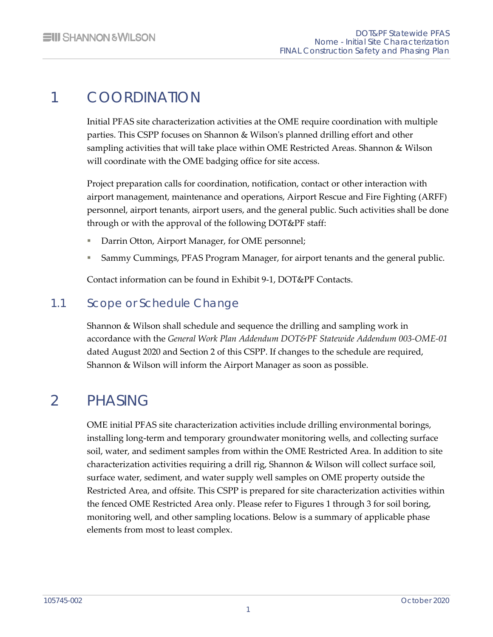# <span id="page-7-0"></span>1 COORDINATION

Initial PFAS site characterization activities at the OME require coordination with multiple parties. This CSPP focuses on Shannon & Wilson's planned drilling effort and other sampling activities that will take place within OME Restricted Areas. Shannon & Wilson will coordinate with the OME badging office for site access.

Project preparation calls for coordination, notification, contact or other interaction with airport management, maintenance and operations, Airport Rescue and Fire Fighting (ARFF) personnel, airport tenants, airport users, and the general public. Such activities shall be done through or with the approval of the following DOT&PF staff:

- Darrin Otton, Airport Manager, for OME personnel;
- Sammy Cummings, PFAS Program Manager, for airport tenants and the general public.

<span id="page-7-1"></span>Contact information can be found in Exhibit 9-1, DOT&PF Contacts.

## 1.1 Scope or Schedule Change

Shannon & Wilson shall schedule and sequence the drilling and sampling work in accordance with the *General Work Plan Addendum DOT&PF Statewide Addendum 003-OME-01* dated August 2020 and Section 2 of this CSPP. If changes to the schedule are required, Shannon & Wilson will inform the Airport Manager as soon as possible.

# <span id="page-7-2"></span>2 PHASING

OME initial PFAS site characterization activities include drilling environmental borings, installing long-term and temporary groundwater monitoring wells, and collecting surface soil, water, and sediment samples from within the OME Restricted Area. In addition to site characterization activities requiring a drill rig, Shannon & Wilson will collect surface soil, surface water, sediment, and water supply well samples on OME property outside the Restricted Area, and offsite. This CSPP is prepared for site characterization activities within the fenced OME Restricted Area only. Please refer to Figures 1 through 3 for soil boring, monitoring well, and other sampling locations. Below is a summary of applicable phase elements from most to least complex.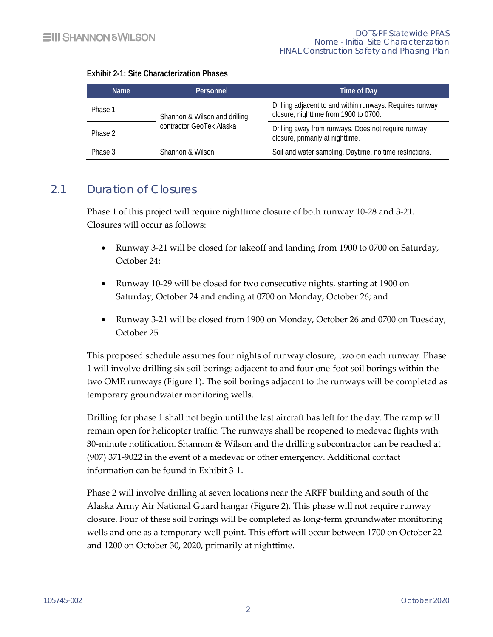| <b>Name</b> | Personnel                     | Time of Day                                                                                       |  |
|-------------|-------------------------------|---------------------------------------------------------------------------------------------------|--|
| Phase 1     | Shannon & Wilson and drilling | Drilling adjacent to and within runways. Requires runway<br>closure, nighttime from 1900 to 0700. |  |
| Phase 2     | contractor GeoTek Alaska      | Drilling away from runways. Does not require runway<br>closure, primarily at nighttime.           |  |
| Phase 3     | Shannon & Wilson              | Soil and water sampling. Daytime, no time restrictions.                                           |  |

#### <span id="page-8-1"></span>**Exhibit 2-1: Site Characterization Phases**

## 2.1 Duration of Closures

<span id="page-8-0"></span>Phase 1 of this project will require nighttime closure of both runway 10-28 and 3-21. Closures will occur as follows:

- Runway 3-21 will be closed for takeoff and landing from 1900 to 0700 on Saturday, October 24;
- Runway 10-29 will be closed for two consecutive nights, starting at 1900 on Saturday, October 24 and ending at 0700 on Monday, October 26; and
- Runway 3-21 will be closed from 1900 on Monday, October 26 and 0700 on Tuesday, October 25

This proposed schedule assumes four nights of runway closure, two on each runway. Phase 1 will involve drilling six soil borings adjacent to and four one-foot soil borings within the two OME runways (Figure 1). The soil borings adjacent to the runways will be completed as temporary groundwater monitoring wells.

Drilling for phase 1 shall not begin until the last aircraft has left for the day. The ramp will remain open for helicopter traffic. The runways shall be reopened to medevac flights with 30-minute notification. Shannon & Wilson and the drilling subcontractor can be reached at (907) 371-9022 in the event of a medevac or other emergency. Additional contact information can be found in Exhibit 3-1.

Phase 2 will involve drilling at seven locations near the ARFF building and south of the Alaska Army Air National Guard hangar (Figure 2). This phase will not require runway closure. Four of these soil borings will be completed as long-term groundwater monitoring wells and one as a temporary well point. This effort will occur between 1700 on October 22 and 1200 on October 30, 2020, primarily at nighttime.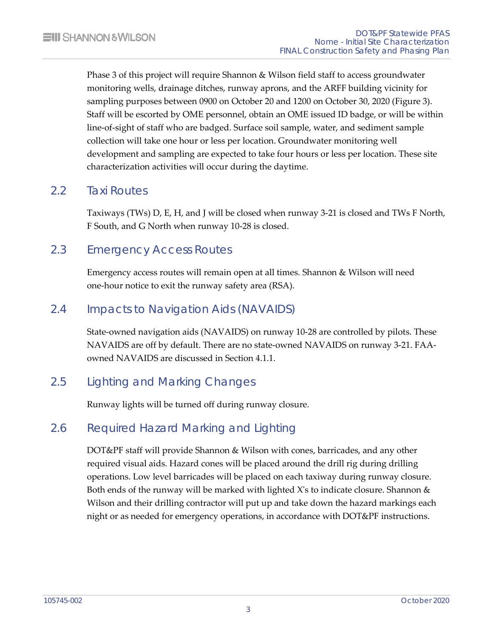Phase 3 of this project will require Shannon & Wilson field staff to access groundwater monitoring wells, drainage ditches, runway aprons, and the ARFF building vicinity for sampling purposes between 0900 on October 20 and 1200 on October 30, 2020 (Figure 3). Staff will be escorted by OME personnel, obtain an OME issued ID badge, or will be within line-of-sight of staff who are badged. Surface soil sample, water, and sediment sample collection will take one hour or less per location. Groundwater monitoring well development and sampling are expected to take four hours or less per location. These site characterization activities will occur during the daytime.

## 2.2 Taxi Routes

<span id="page-9-1"></span><span id="page-9-0"></span>Taxiways (TWs) D, E, H, and J will be closed when runway 3-21 is closed and TWs F North, F South, and G North when runway 10-28 is closed.

## 2.3 Emergency Access Routes

<span id="page-9-2"></span>Emergency access routes will remain open at all times. Shannon & Wilson will need one-hour notice to exit the runway safety area (RSA).

## 2.4 Impacts to Navigation Aids (NAVAIDS)

State-owned navigation aids (NAVAIDS) on runway 10-28 are controlled by pilots. These NAVAIDS are off by default. There are no state-owned NAVAIDS on runway 3-21. FAAowned NAVAIDS are discussed in Section 4.1.1.

## 2.5 Lighting and Marking Changes

<span id="page-9-4"></span><span id="page-9-3"></span>Runway lights will be turned off during runway closure.

## 2.6 Required Hazard Marking and Lighting

DOT&PF staff will provide Shannon & Wilson with cones, barricades, and any other required visual aids. Hazard cones will be placed around the drill rig during drilling operations. Low level barricades will be placed on each taxiway during runway closure. Both ends of the runway will be marked with lighted X's to indicate closure. Shannon  $\&$ Wilson and their drilling contractor will put up and take down the hazard markings each night or as needed for emergency operations, in accordance with DOT&PF instructions.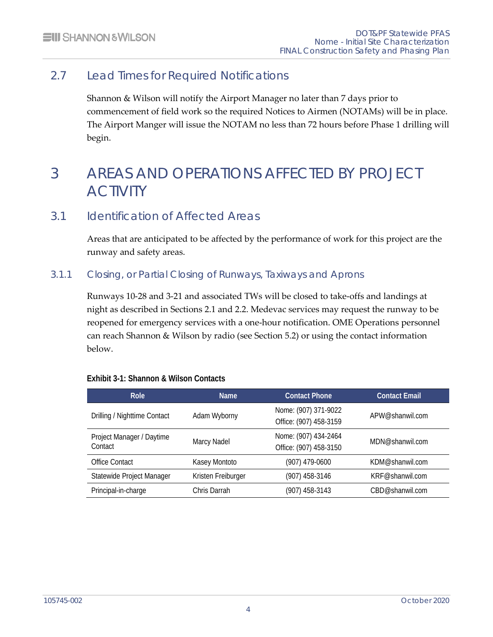## 2.7 Lead Times for Required Notifications

<span id="page-10-0"></span>Shannon & Wilson will notify the Airport Manager no later than 7 days prior to commencement of field work so the required Notices to Airmen (NOTAMs) will be in place. The Airport Manger will issue the NOTAM no less than 72 hours before Phase 1 drilling will begin.

# <span id="page-10-1"></span>3 AREAS AND OPERATIONS AFFECTED BY PROJECT ACTIVITY

## 3.1 Identification of Affected Areas

<span id="page-10-3"></span><span id="page-10-2"></span>Areas that are anticipated to be affected by the performance of work for this project are the runway and safety areas.

### 3.1.1 Closing, or Partial Closing of Runways, Taxiways and Aprons

Runways 10-28 and 3-21 and associated TWs will be closed to take-offs and landings at night as described in Sections 2.1 and 2.2. Medevac services may request the runway to be reopened for emergency services with a one-hour notification. OME Operations personnel can reach Shannon & Wilson by radio (see Section 5.2) or using the contact information below.

| Role                                 | <b>Name</b>        | <b>Contact Phone</b>                           | <b>Contact Email</b> |
|--------------------------------------|--------------------|------------------------------------------------|----------------------|
| Drilling / Nighttime Contact         | Adam Wyborny       | Nome: (907) 371-9022<br>Office: (907) 458-3159 | APW@shanwil.com      |
| Project Manager / Daytime<br>Contact | Marcy Nadel        | Nome: (907) 434-2464<br>Office: (907) 458-3150 | MDN@shanwil.com      |
| <b>Office Contact</b>                | Kasey Montoto      | (907) 479-0600                                 | KDM@shanwil.com      |
| Statewide Project Manager            | Kristen Freiburger | (907) 458-3146                                 | KRF@shanwil.com      |
| Principal-in-charge                  | Chris Darrah       | (907) 458-3143                                 | CBD@shanwil.com      |

#### <span id="page-10-4"></span>**Exhibit 3-1: Shannon & Wilson Contacts**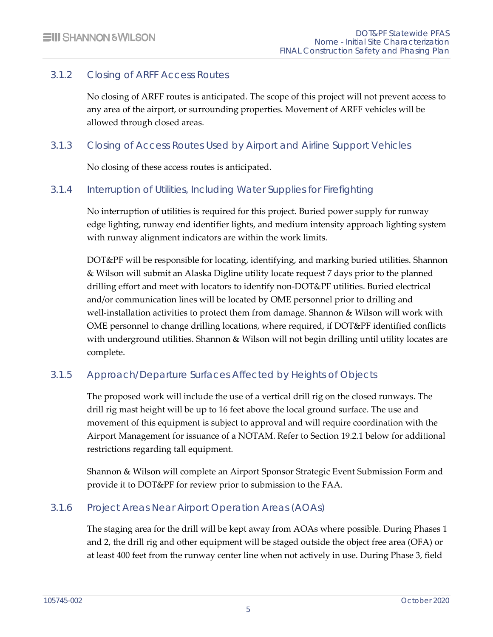### 3.1.2 Closing of ARFF Access Routes

<span id="page-11-0"></span>No closing of ARFF routes is anticipated. The scope of this project will not prevent access to any area of the airport, or surrounding properties. Movement of ARFF vehicles will be allowed through closed areas.

#### 3.1.3 Closing of Access Routes Used by Airport and Airline Support Vehicles

<span id="page-11-2"></span><span id="page-11-1"></span>No closing of these access routes is anticipated.

#### 3.1.4 Interruption of Utilities, Including Water Supplies for Firefighting

No interruption of utilities is required for this project. Buried power supply for runway edge lighting, runway end identifier lights, and medium intensity approach lighting system with runway alignment indicators are within the work limits.

DOT&PF will be responsible for locating, identifying, and marking buried utilities. Shannon & Wilson will submit an Alaska Digline utility locate request 7 days prior to the planned drilling effort and meet with locators to identify non-DOT&PF utilities. Buried electrical and/or communication lines will be located by OME personnel prior to drilling and well-installation activities to protect them from damage. Shannon & Wilson will work with OME personnel to change drilling locations, where required, if DOT&PF identified conflicts with underground utilities. Shannon & Wilson will not begin drilling until utility locates are complete.

### 3.1.5 Approach/Departure Surfaces Affected by Heights of Objects

<span id="page-11-3"></span>The proposed work will include the use of a vertical drill rig on the closed runways. The drill rig mast height will be up to 16 feet above the local ground surface. The use and movement of this equipment is subject to approval and will require coordination with the Airport Management for issuance of a NOTAM. Refer to Section 19.2.1 below for additional restrictions regarding tall equipment.

<span id="page-11-4"></span>Shannon & Wilson will complete an Airport Sponsor Strategic Event Submission Form and provide it to DOT&PF for review prior to submission to the FAA.

### 3.1.6 Project Areas Near Airport Operation Areas (AOAs)

The staging area for the drill will be kept away from AOAs where possible. During Phases 1 and 2, the drill rig and other equipment will be staged outside the object free area (OFA) or at least 400 feet from the runway center line when not actively in use. During Phase 3, field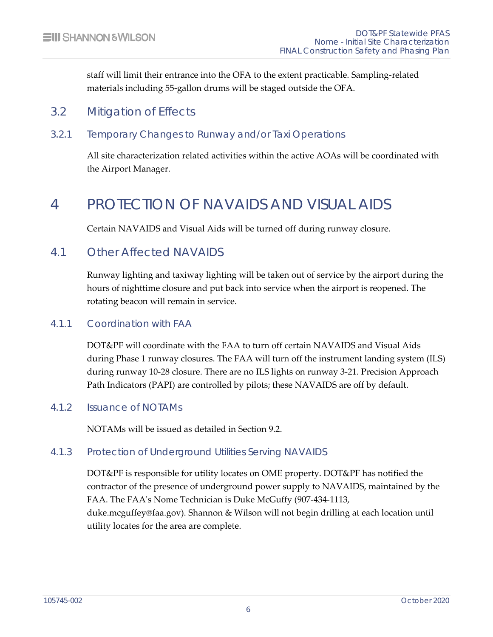<span id="page-12-0"></span>staff will limit their entrance into the OFA to the extent practicable. Sampling-related materials including 55-gallon drums will be staged outside the OFA.

## 3.2 Mitigation of Effects

#### 3.2.1 Temporary Changes to Runway and/or Taxi Operations

<span id="page-12-2"></span><span id="page-12-1"></span>All site characterization related activities within the active AOAs will be coordinated with the Airport Manager.

## 4 PROTECTION OF NAVAIDS AND VISUAL AIDS

<span id="page-12-3"></span>Certain NAVAIDS and Visual Aids will be turned off during runway closure.

## 4.1 Other Affected NAVAIDS

Runway lighting and taxiway lighting will be taken out of service by the airport during the hours of nighttime closure and put back into service when the airport is reopened. The rotating beacon will remain in service.

### 4.1.1 Coordination with FAA

<span id="page-12-4"></span>DOT&PF will coordinate with the FAA to turn off certain NAVAIDS and Visual Aids during Phase 1 runway closures. The FAA will turn off the instrument landing system (ILS) during runway 10-28 closure. There are no ILS lights on runway 3-21. Precision Approach Path Indicators (PAPI) are controlled by pilots; these NAVAIDS are off by default.

#### 4.1.2 Issuance of NOTAMs

<span id="page-12-6"></span><span id="page-12-5"></span>NOTAMs will be issued as detailed in Section 9.2.

#### 4.1.3 Protection of Underground Utilities Serving NAVAIDS

DOT&PF is responsible for utility locates on OME property. DOT&PF has notified the contractor of the presence of underground power supply to NAVAIDS, maintained by the FAA. The FAA's Nome Technician is Duke McGuffy (907-434-1113, [duke.mcguffey@faa.gov\)](mailto:duke.mcguffey@faa.gov). Shannon & Wilson will not begin drilling at each location until utility locates for the area are complete.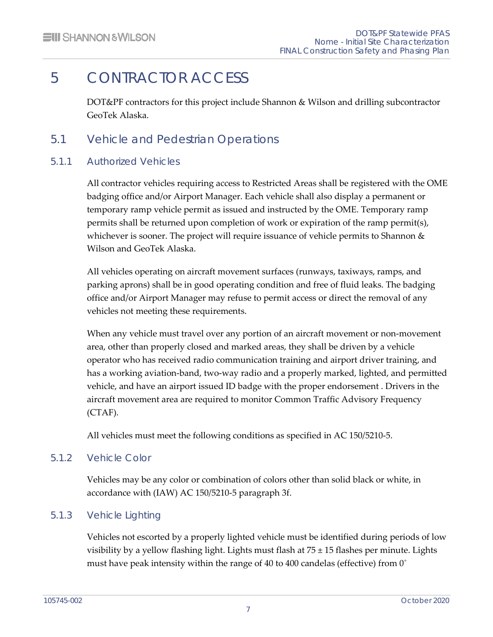# 5 CONTRACTOR ACCESS

<span id="page-13-1"></span><span id="page-13-0"></span>DOT&PF contractors for this project include Shannon & Wilson and drilling subcontractor GeoTek Alaska.

## 5.1 Vehicle and Pedestrian Operations

### 5.1.1 Authorized Vehicles

<span id="page-13-2"></span>All contractor vehicles requiring access to Restricted Areas shall be registered with the OME badging office and/or Airport Manager. Each vehicle shall also display a permanent or temporary ramp vehicle permit as issued and instructed by the OME. Temporary ramp permits shall be returned upon completion of work or expiration of the ramp permit(s), whichever is sooner. The project will require issuance of vehicle permits to Shannon  $\&$ Wilson and GeoTek Alaska.

All vehicles operating on aircraft movement surfaces (runways, taxiways, ramps, and parking aprons) shall be in good operating condition and free of fluid leaks. The badging office and/or Airport Manager may refuse to permit access or direct the removal of any vehicles not meeting these requirements.

When any vehicle must travel over any portion of an aircraft movement or non-movement area, other than properly closed and marked areas, they shall be driven by a vehicle operator who has received radio communication training and airport driver training, and has a working aviation-band, two-way radio and a properly marked, lighted, and permitted vehicle, and have an airport issued ID badge with the proper endorsement . Drivers in the aircraft movement area are required to monitor Common Traffic Advisory Frequency (CTAF).

<span id="page-13-3"></span>All vehicles must meet the following conditions as specified in AC 150/5210-5.

### 5.1.2 Vehicle Color

<span id="page-13-4"></span>Vehicles may be any color or combination of colors other than solid black or white, in accordance with (IAW) AC 150/5210-5 paragraph 3f.

## 5.1.3 Vehicle Lighting

Vehicles not escorted by a properly lighted vehicle must be identified during periods of low visibility by a yellow flashing light. Lights must flash at 75 ± 15 flashes per minute. Lights must have peak intensity within the range of 40 to 400 candelas (effective) from  $0^{\circ}$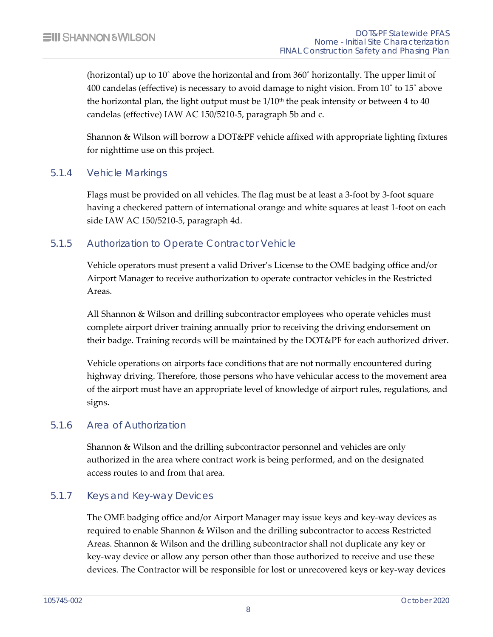(horizontal) up to 10˚ above the horizontal and from 360˚ horizontally. The upper limit of 400 candelas (effective) is necessary to avoid damage to night vision. From 10˚ to 15˚ above the horizontal plan, the light output must be  $1/10<sup>th</sup>$  the peak intensity or between 4 to 40 candelas (effective) IAW AC 150/5210-5, paragraph 5b and c.

<span id="page-14-0"></span>Shannon & Wilson will borrow a DOT&PF vehicle affixed with appropriate lighting fixtures for nighttime use on this project.

#### 5.1.4 Vehicle Markings

Flags must be provided on all vehicles. The flag must be at least a 3-foot by 3-foot square having a checkered pattern of international orange and white squares at least 1-foot on each side IAW AC 150/5210-5, paragraph 4d.

### 5.1.5 Authorization to Operate Contractor Vehicle

<span id="page-14-1"></span>Vehicle operators must present a valid Driver's License to the OME badging office and/or Airport Manager to receive authorization to operate contractor vehicles in the Restricted Areas.

All Shannon & Wilson and drilling subcontractor employees who operate vehicles must complete airport driver training annually prior to receiving the driving endorsement on their badge. Training records will be maintained by the DOT&PF for each authorized driver.

Vehicle operations on airports face conditions that are not normally encountered during highway driving. Therefore, those persons who have vehicular access to the movement area of the airport must have an appropriate level of knowledge of airport rules, regulations, and signs.

#### 5.1.6 Area of Authorization

<span id="page-14-2"></span>Shannon & Wilson and the drilling subcontractor personnel and vehicles are only authorized in the area where contract work is being performed, and on the designated access routes to and from that area.

#### 5.1.7 Keys and Key-way Devices

<span id="page-14-3"></span>The OME badging office and/or Airport Manager may issue keys and key-way devices as required to enable Shannon & Wilson and the drilling subcontractor to access Restricted Areas. Shannon & Wilson and the drilling subcontractor shall not duplicate any key or key-way device or allow any person other than those authorized to receive and use these devices. The Contractor will be responsible for lost or unrecovered keys or key-way devices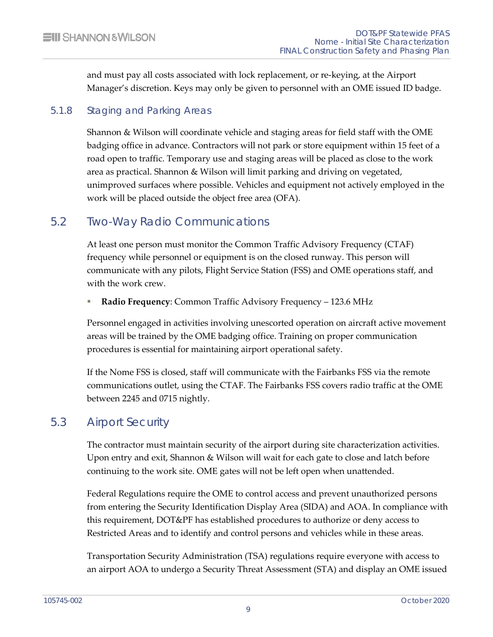<span id="page-15-0"></span>and must pay all costs associated with lock replacement, or re-keying, at the Airport Manager's discretion. Keys may only be given to personnel with an OME issued ID badge.

### 5.1.8 Staging and Parking Areas

Shannon & Wilson will coordinate vehicle and staging areas for field staff with the OME badging office in advance. Contractors will not park or store equipment within 15 feet of a road open to traffic. Temporary use and staging areas will be placed as close to the work area as practical. Shannon & Wilson will limit parking and driving on vegetated, unimproved surfaces where possible. Vehicles and equipment not actively employed in the work will be placed outside the object free area (OFA).

## 5.2 Two-Way Radio Communications

<span id="page-15-1"></span>At least one person must monitor the Common Traffic Advisory Frequency (CTAF) frequency while personnel or equipment is on the closed runway. This person will communicate with any pilots, Flight Service Station (FSS) and OME operations staff, and with the work crew.

**Radio Frequency**: Common Traffic Advisory Frequency – 123.6 MHz

Personnel engaged in activities involving unescorted operation on aircraft active movement areas will be trained by the OME badging office. Training on proper communication procedures is essential for maintaining airport operational safety.

If the Nome FSS is closed, staff will communicate with the Fairbanks FSS via the remote communications outlet, using the CTAF. The Fairbanks FSS covers radio traffic at the OME between 2245 and 0715 nightly.

## 5.3 Airport Security

<span id="page-15-2"></span>The contractor must maintain security of the airport during site characterization activities. Upon entry and exit, Shannon & Wilson will wait for each gate to close and latch before continuing to the work site. OME gates will not be left open when unattended.

Federal Regulations require the OME to control access and prevent unauthorized persons from entering the Security Identification Display Area (SIDA) and AOA. In compliance with this requirement, DOT&PF has established procedures to authorize or deny access to Restricted Areas and to identify and control persons and vehicles while in these areas.

Transportation Security Administration (TSA) regulations require everyone with access to an airport AOA to undergo a Security Threat Assessment (STA) and display an OME issued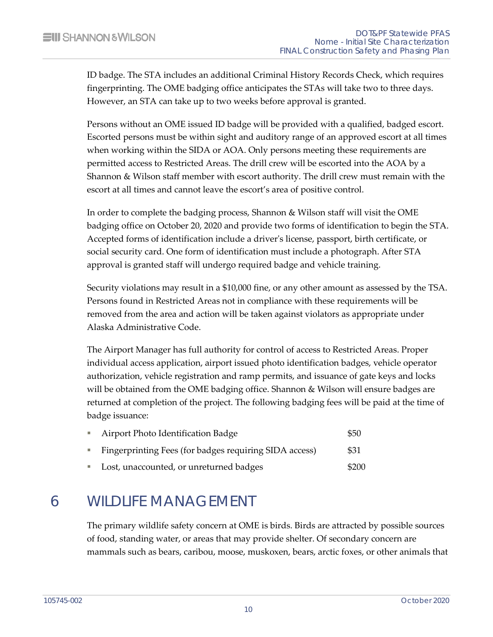ID badge. The STA includes an additional Criminal History Records Check, which requires fingerprinting. The OME badging office anticipates the STAs will take two to three days. However, an STA can take up to two weeks before approval is granted.

Persons without an OME issued ID badge will be provided with a qualified, badged escort. Escorted persons must be within sight and auditory range of an approved escort at all times when working within the SIDA or AOA. Only persons meeting these requirements are permitted access to Restricted Areas. The drill crew will be escorted into the AOA by a Shannon & Wilson staff member with escort authority. The drill crew must remain with the escort at all times and cannot leave the escort's area of positive control.

In order to complete the badging process, Shannon & Wilson staff will visit the OME badging office on October 20, 2020 and provide two forms of identification to begin the STA. Accepted forms of identification include a driver's license, passport, birth certificate, or social security card. One form of identification must include a photograph. After STA approval is granted staff will undergo required badge and vehicle training.

Security violations may result in a \$10,000 fine, or any other amount as assessed by the TSA. Persons found in Restricted Areas not in compliance with these requirements will be removed from the area and action will be taken against violators as appropriate under Alaska Administrative Code.

The Airport Manager has full authority for control of access to Restricted Areas. Proper individual access application, airport issued photo identification badges, vehicle operator authorization, vehicle registration and ramp permits, and issuance of gate keys and locks will be obtained from the OME badging office. Shannon & Wilson will ensure badges are returned at completion of the project. The following badging fees will be paid at the time of badge issuance:

| <b>College</b> | Airport Photo Identification Badge                     | \$50  |
|----------------|--------------------------------------------------------|-------|
|                | Fingerprinting Fees (for badges requiring SIDA access) | \$31  |
| <b>College</b> | Lost, unaccounted, or unreturned badges                | \$200 |

# <span id="page-16-0"></span>6 WILDLIFE MANAGEMENT

The primary wildlife safety concern at OME is birds. Birds are attracted by possible sources of food, standing water, or areas that may provide shelter. Of secondary concern are mammals such as bears, caribou, moose, muskoxen, bears, arctic foxes, or other animals that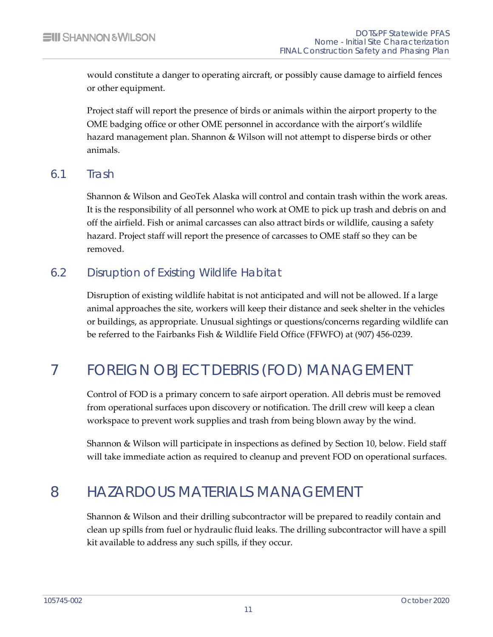would constitute a danger to operating aircraft, or possibly cause damage to airfield fences or other equipment.

Project staff will report the presence of birds or animals within the airport property to the OME badging office or other OME personnel in accordance with the airport's wildlife hazard management plan. Shannon & Wilson will not attempt to disperse birds or other animals.

### 6.1 Trash

<span id="page-17-0"></span>Shannon & Wilson and GeoTek Alaska will control and contain trash within the work areas. It is the responsibility of all personnel who work at OME to pick up trash and debris on and off the airfield. Fish or animal carcasses can also attract birds or wildlife, causing a safety hazard. Project staff will report the presence of carcasses to OME staff so they can be removed.

## 6.2 Disruption of Existing Wildlife Habitat

<span id="page-17-1"></span>Disruption of existing wildlife habitat is not anticipated and will not be allowed. If a large animal approaches the site, workers will keep their distance and seek shelter in the vehicles or buildings, as appropriate. Unusual sightings or questions/concerns regarding wildlife can be referred to the Fairbanks Fish & Wildlife Field Office (FFWFO) at (907) 456-0239.

# <span id="page-17-2"></span>7 FOREIGN OBJECT DEBRIS (FOD) MANAGEMENT

Control of FOD is a primary concern to safe airport operation. All debris must be removed from operational surfaces upon discovery or notification. The drill crew will keep a clean workspace to prevent work supplies and trash from being blown away by the wind.

<span id="page-17-3"></span>Shannon & Wilson will participate in inspections as defined by Section 10, below. Field staff will take immediate action as required to cleanup and prevent FOD on operational surfaces.

## 8 HAZARDOUS MATERIALS MANAGEMENT

Shannon & Wilson and their drilling subcontractor will be prepared to readily contain and clean up spills from fuel or hydraulic fluid leaks. The drilling subcontractor will have a spill kit available to address any such spills, if they occur.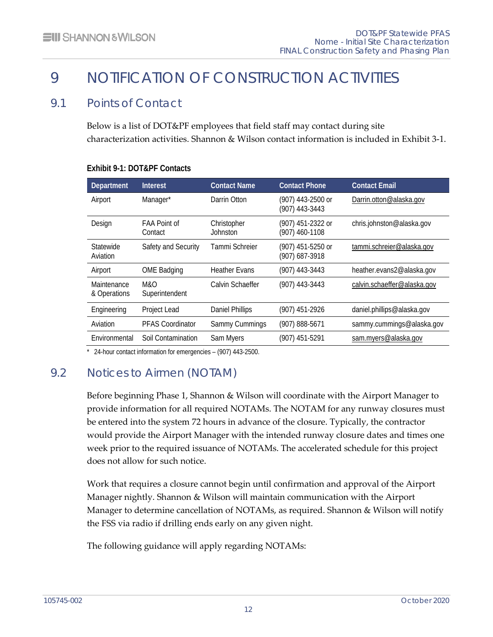# <span id="page-18-0"></span>9 NOTIFICATION OF CONSTRUCTION ACTIVITIES

## 9.1 Points of Contact

<span id="page-18-1"></span>Below is a list of DOT&PF employees that field staff may contact during site characterization activities. Shannon & Wilson contact information is included in Exhibit 3-1.

| Department                  | Interest                       | <b>Contact Name</b>     | <b>Contact Phone</b>                | <b>Contact Email</b>        |
|-----------------------------|--------------------------------|-------------------------|-------------------------------------|-----------------------------|
| Airport                     | Manager*                       | Darrin Otton            | (907) 443-2500 or<br>(907) 443-3443 | Darrin.otton@alaska.gov     |
| Design                      | <b>FAA Point of</b><br>Contact | Christopher<br>Johnston | (907) 451-2322 or<br>(907) 460-1108 | chris.johnston@alaska.gov   |
| Statewide<br>Aviation       | Safety and Security            | Tammi Schreier          | (907) 451-5250 or<br>(907) 687-3918 | tammi.schreier@alaska.gov   |
| Airport                     | <b>OME Badging</b>             | <b>Heather Evans</b>    | (907) 443-3443                      | heather.evans2@alaska.gov   |
| Maintenance<br>& Operations | M&O<br>Superintendent          | Calvin Schaeffer        | (907) 443-3443                      | calvin.schaeffer@alaska.gov |
| Engineering                 | Project Lead                   | <b>Daniel Phillips</b>  | (907) 451-2926                      | daniel.phillips@alaska.gov  |
| Aviation                    | <b>PFAS Coordinator</b>        | Sammy Cummings          | (907) 888-5671                      | sammy.cummings@alaska.gov   |
| Environmental               | Soil Contamination             | Sam Myers               | (907) 451-5291                      | sam.myers@alaska.gov        |

#### <span id="page-18-3"></span>**Exhibit 9-1: DOT&PF Contacts**

<span id="page-18-2"></span>\* 24-hour contact information for emergencies – (907) 443-2500.

## 9.2 Notices to Airmen (NOTAM)

Before beginning Phase 1, Shannon & Wilson will coordinate with the Airport Manager to provide information for all required NOTAMs. The NOTAM for any runway closures must be entered into the system 72 hours in advance of the closure. Typically, the contractor would provide the Airport Manager with the intended runway closure dates and times one week prior to the required issuance of NOTAMs. The accelerated schedule for this project does not allow for such notice.

Work that requires a closure cannot begin until confirmation and approval of the Airport Manager nightly. Shannon & Wilson will maintain communication with the Airport Manager to determine cancellation of NOTAMs, as required. Shannon & Wilson will notify the FSS via radio if drilling ends early on any given night.

The following guidance will apply regarding NOTAMs: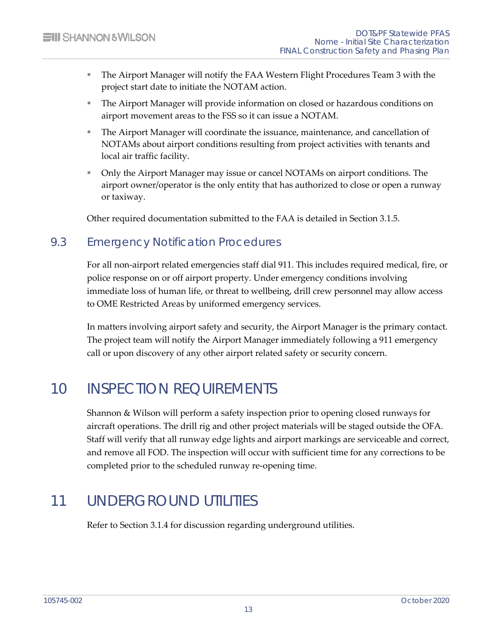- The Airport Manager will notify the FAA Western Flight Procedures Team 3 with the project start date to initiate the NOTAM action.
- The Airport Manager will provide information on closed or hazardous conditions on airport movement areas to the FSS so it can issue a NOTAM.
- The Airport Manager will coordinate the issuance, maintenance, and cancellation of NOTAMs about airport conditions resulting from project activities with tenants and local air traffic facility.
- **Drace A**  $\blacksquare$  Only the Airport Manager may issue or cancel NOTAMs on airport conditions. The airport owner/operator is the only entity that has authorized to close or open a runway or taxiway.

<span id="page-19-0"></span>Other required documentation submitted to the FAA is detailed in Section 3.1.5.

## 9.3 Emergency Notification Procedures

For all non-airport related emergencies staff dial 911. This includes required medical, fire, or police response on or off airport property. Under emergency conditions involving immediate loss of human life, or threat to wellbeing, drill crew personnel may allow access to OME Restricted Areas by uniformed emergency services.

<span id="page-19-1"></span>In matters involving airport safety and security, the Airport Manager is the primary contact. The project team will notify the Airport Manager immediately following a 911 emergency call or upon discovery of any other airport related safety or security concern.

# 10 INSPECTION REQUIREMENTS

Shannon & Wilson will perform a safety inspection prior to opening closed runways for aircraft operations. The drill rig and other project materials will be staged outside the OFA. Staff will verify that all runway edge lights and airport markings are serviceable and correct, and remove all FOD. The inspection will occur with sufficient time for any corrections to be completed prior to the scheduled runway re-opening time.

## <span id="page-19-2"></span>11 UNDERGROUND UTILITIES

Refer to Section 3.1.4 for discussion regarding underground utilities.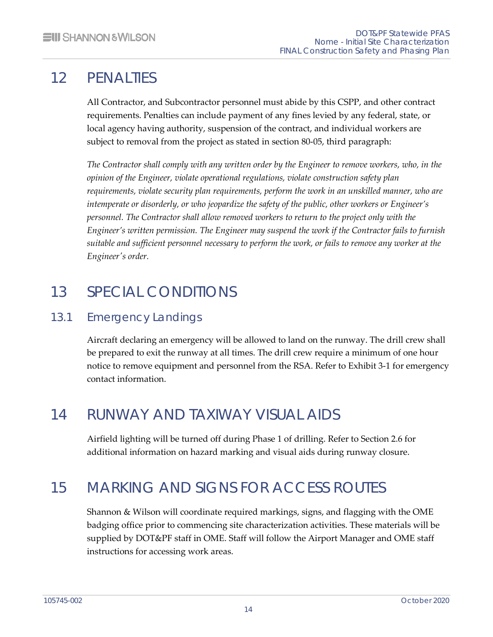# 12 PENALTIES

<span id="page-20-0"></span>All Contractor, and Subcontractor personnel must abide by this CSPP, and other contract requirements. Penalties can include payment of any fines levied by any federal, state, or local agency having authority, suspension of the contract, and individual workers are subject to removal from the project as stated in section 80-05, third paragraph:

*The Contractor shall comply with any written order by the Engineer to remove workers, who, in the opinion of the Engineer, violate operational regulations, violate construction safety plan requirements, violate security plan requirements, perform the work in an unskilled manner, who are intemperate or disorderly, or who jeopardize the safety of the public, other workers or Engineer's personnel. The Contractor shall allow removed workers to return to the project only with the Engineer's written permission. The Engineer may suspend the work if the Contractor fails to furnish suitable and sufficient personnel necessary to perform the work, or fails to remove any worker at the Engineer's order.*

# <span id="page-20-1"></span>13 SPECIAL CONDITIONS

## 13.1 Emergency Landings

<span id="page-20-2"></span>Aircraft declaring an emergency will be allowed to land on the runway. The drill crew shall be prepared to exit the runway at all times. The drill crew require a minimum of one hour notice to remove equipment and personnel from the RSA. Refer to Exhibit 3-1 for emergency contact information.

# <span id="page-20-3"></span>14 RUNWAY AND TAXIWAY VISUAL AIDS

<span id="page-20-4"></span>Airfield lighting will be turned off during Phase 1 of drilling. Refer to Section 2.6 for additional information on hazard marking and visual aids during runway closure.

# 15 MARKING AND SIGNS FOR ACCESS ROUTES

Shannon & Wilson will coordinate required markings, signs, and flagging with the OME badging office prior to commencing site characterization activities. These materials will be supplied by DOT&PF staff in OME. Staff will follow the Airport Manager and OME staff instructions for accessing work areas.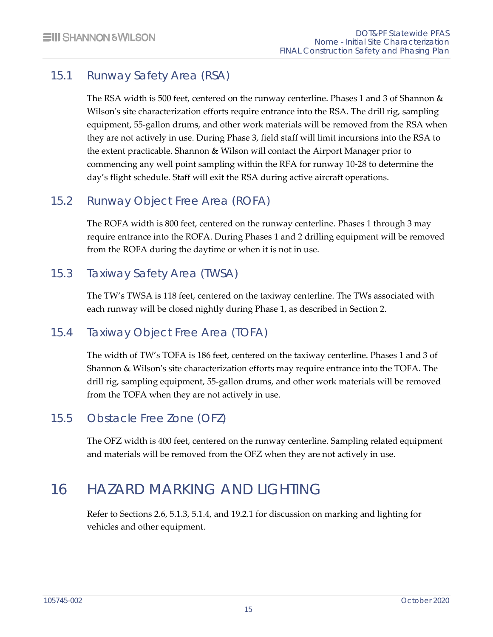## 15.1 Runway Safety Area (RSA)

<span id="page-21-0"></span>The RSA width is 500 feet, centered on the runway centerline. Phases 1 and 3 of Shannon & Wilson's site characterization efforts require entrance into the RSA. The drill rig, sampling equipment, 55-gallon drums, and other work materials will be removed from the RSA when they are not actively in use. During Phase 3, field staff will limit incursions into the RSA to the extent practicable. Shannon & Wilson will contact the Airport Manager prior to commencing any well point sampling within the RFA for runway 10-28 to determine the day's flight schedule. Staff will exit the RSA during active aircraft operations.

## 15.2 Runway Object Free Area (ROFA)

<span id="page-21-1"></span>The ROFA width is 800 feet, centered on the runway centerline. Phases 1 through 3 may require entrance into the ROFA. During Phases 1 and 2 drilling equipment will be removed from the ROFA during the daytime or when it is not in use.

## 15.3 Taxiway Safety Area (TWSA)

<span id="page-21-3"></span><span id="page-21-2"></span>The TW's TWSA is 118 feet, centered on the taxiway centerline. The TWs associated with each runway will be closed nightly during Phase 1, as described in Section 2.

## 15.4 Taxiway Object Free Area (TOFA)

The width of TW's TOFA is 186 feet, centered on the taxiway centerline. Phases 1 and 3 of Shannon & Wilson's site characterization efforts may require entrance into the TOFA. The drill rig, sampling equipment, 55-gallon drums, and other work materials will be removed from the TOFA when they are not actively in use.

## 15.5 Obstacle Free Zone (OFZ)

<span id="page-21-5"></span><span id="page-21-4"></span>The OFZ width is 400 feet, centered on the runway centerline. Sampling related equipment and materials will be removed from the OFZ when they are not actively in use.

# 16 HAZARD MARKING AND LIGHTING

Refer to Sections 2.6, 5.1.3, 5.1.4, and 19.2.1 for discussion on marking and lighting for vehicles and other equipment.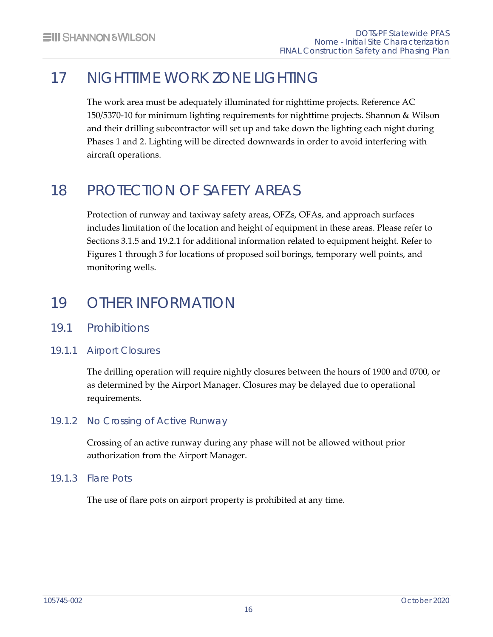# 17 NIGHTTIME WORK ZONE LIGHTING

<span id="page-22-0"></span>The work area must be adequately illuminated for nighttime projects. Reference AC 150/5370-10 for minimum lighting requirements for nighttime projects. Shannon & Wilson and their drilling subcontractor will set up and take down the lighting each night during Phases 1 and 2. Lighting will be directed downwards in order to avoid interfering with aircraft operations.

# <span id="page-22-1"></span>18 PROTECTION OF SAFETY AREAS

Protection of runway and taxiway safety areas, OFZs, OFAs, and approach surfaces includes limitation of the location and height of equipment in these areas. Please refer to Sections 3.1.5 and 19.2.1 for additional information related to equipment height. Refer to Figures 1 through 3 for locations of proposed soil borings, temporary well points, and monitoring wells.

# <span id="page-22-2"></span>19 OTHER INFORMATION

- <span id="page-22-3"></span>19.1 Prohibitions
- 19.1.1 Airport Closures

<span id="page-22-4"></span>The drilling operation will require nightly closures between the hours of 1900 and 0700, or as determined by the Airport Manager. Closures may be delayed due to operational requirements.

## 19.1.2 No Crossing of Active Runway

<span id="page-22-6"></span><span id="page-22-5"></span>Crossing of an active runway during any phase will not be allowed without prior authorization from the Airport Manager.

### 19.1.3 Flare Pots

The use of flare pots on airport property is prohibited at any time.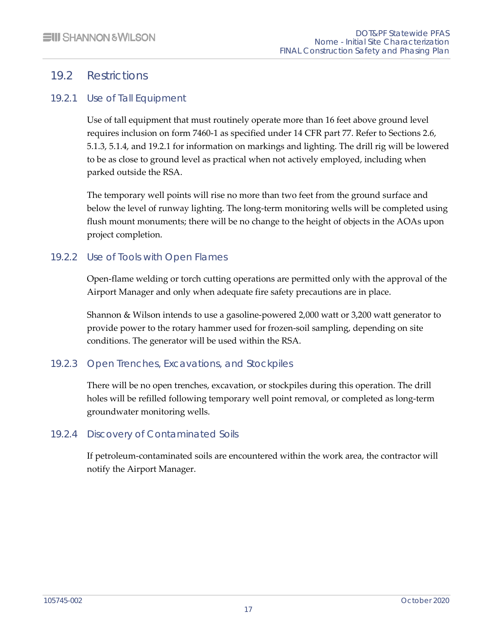## <span id="page-23-0"></span>19.2 Restrictions

### 19.2.1 Use of Tall Equipment

<span id="page-23-1"></span>Use of tall equipment that must routinely operate more than 16 feet above ground level requires inclusion on form 7460-1 as specified under 14 CFR part 77. Refer to Sections 2.6, 5.1.3, 5.1.4, and 19.2.1 for information on markings and lighting. The drill rig will be lowered to be as close to ground level as practical when not actively employed, including when parked outside the RSA.

The temporary well points will rise no more than two feet from the ground surface and below the level of runway lighting. The long-term monitoring wells will be completed using flush mount monuments; there will be no change to the height of objects in the AOAs upon project completion.

## 19.2.2 Use of Tools with Open Flames

<span id="page-23-2"></span>Open-flame welding or torch cutting operations are permitted only with the approval of the Airport Manager and only when adequate fire safety precautions are in place.

Shannon & Wilson intends to use a gasoline-powered 2,000 watt or 3,200 watt generator to provide power to the rotary hammer used for frozen-soil sampling, depending on site conditions. The generator will be used within the RSA.

### 19.2.3 Open Trenches, Excavations, and Stockpiles

<span id="page-23-3"></span>There will be no open trenches, excavation, or stockpiles during this operation. The drill holes will be refilled following temporary well point removal, or completed as long-term groundwater monitoring wells.

### 19.2.4 Discovery of Contaminated Soils

<span id="page-23-4"></span>If petroleum-contaminated soils are encountered within the work area, the contractor will notify the Airport Manager.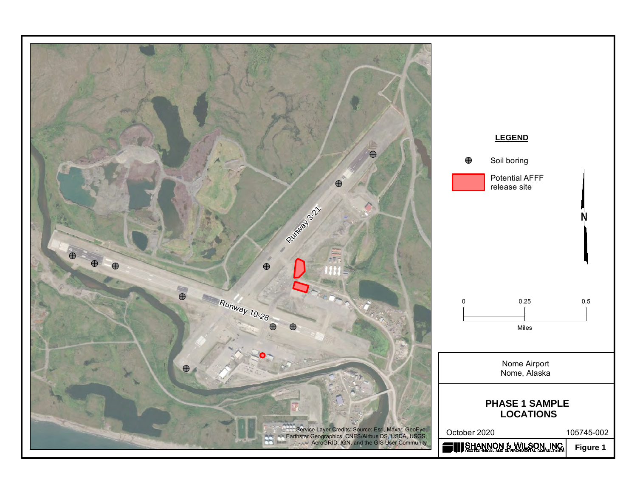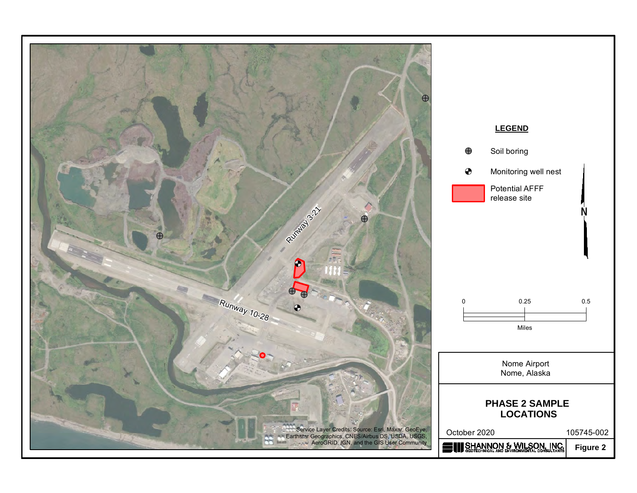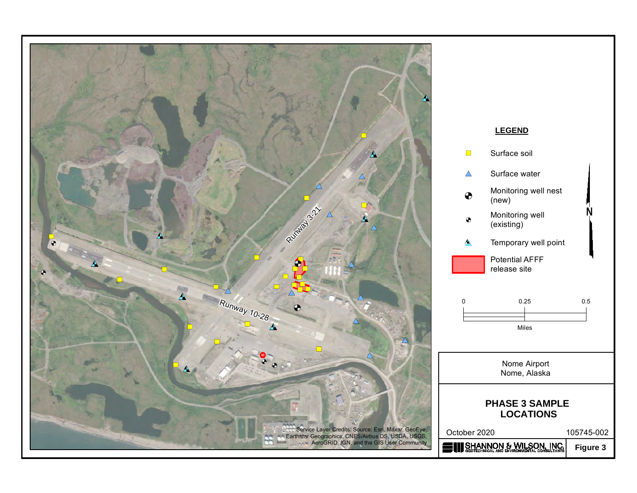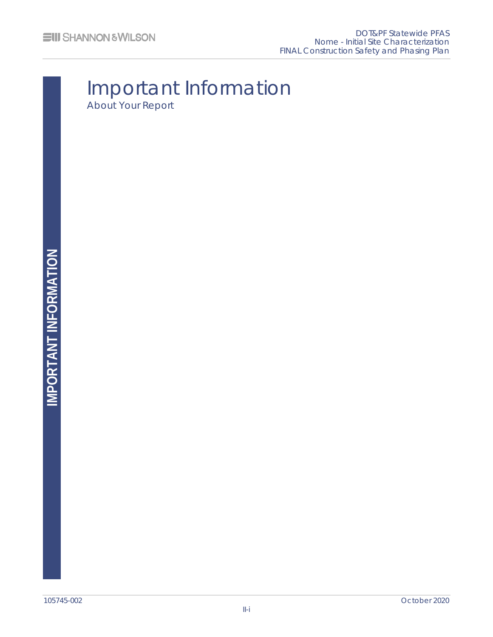# Important Information About Your Report

IMPORTANT INFORMATION **IMPORTANT INFORMATION**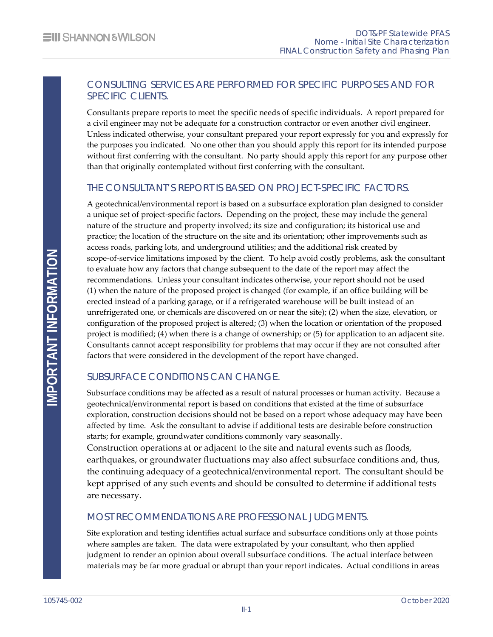#### CONSULTING SERVICES ARE PERFORMED FOR SPECIFIC PURPOSES AND FOR SPECIFIC CLIENTS.

Consultants prepare reports to meet the specific needs of specific individuals. A report prepared for a civil engineer may not be adequate for a construction contractor or even another civil engineer. Unless indicated otherwise, your consultant prepared your report expressly for you and expressly for the purposes you indicated. No one other than you should apply this report for its intended purpose without first conferring with the consultant. No party should apply this report for any purpose other than that originally contemplated without first conferring with the consultant.

#### THE CONSULTANT'S REPORT IS BASED ON PROJECT-SPECIFIC FACTORS.

A geotechnical/environmental report is based on a subsurface exploration plan designed to consider a unique set of project-specific factors. Depending on the project, these may include the general nature of the structure and property involved; its size and configuration; its historical use and practice; the location of the structure on the site and its orientation; other improvements such as access roads, parking lots, and underground utilities; and the additional risk created by scope-of-service limitations imposed by the client. To help avoid costly problems, ask the consultant to evaluate how any factors that change subsequent to the date of the report may affect the recommendations. Unless your consultant indicates otherwise, your report should not be used (1) when the nature of the proposed project is changed (for example, if an office building will be erected instead of a parking garage, or if a refrigerated warehouse will be built instead of an unrefrigerated one, or chemicals are discovered on or near the site); (2) when the size, elevation, or configuration of the proposed project is altered; (3) when the location or orientation of the proposed project is modified; (4) when there is a change of ownership; or (5) for application to an adjacent site. Consultants cannot accept responsibility for problems that may occur if they are not consulted after factors that were considered in the development of the report have changed.

### SUBSURFACE CONDITIONS CAN CHANGE.

Subsurface conditions may be affected as a result of natural processes or human activity. Because a geotechnical/environmental report is based on conditions that existed at the time of subsurface exploration, construction decisions should not be based on a report whose adequacy may have been affected by time. Ask the consultant to advise if additional tests are desirable before construction starts; for example, groundwater conditions commonly vary seasonally.

Construction operations at or adjacent to the site and natural events such as floods, earthquakes, or groundwater fluctuations may also affect subsurface conditions and, thus, the continuing adequacy of a geotechnical/environmental report. The consultant should be kept apprised of any such events and should be consulted to determine if additional tests are necessary.

### MOST RECOMMENDATIONS ARE PROFESSIONAL JUDGMENTS.

Site exploration and testing identifies actual surface and subsurface conditions only at those points where samples are taken. The data were extrapolated by your consultant, who then applied judgment to render an opinion about overall subsurface conditions. The actual interface between materials may be far more gradual or abrupt than your report indicates. Actual conditions in areas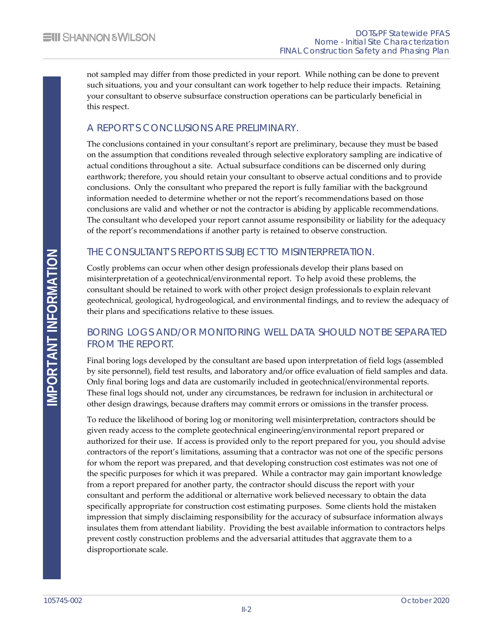not sampled may differ from those predicted in your report. While nothing can be done to prevent such situations, you and your consultant can work together to help reduce their impacts. Retaining your consultant to observe subsurface construction operations can be particularly beneficial in this respect.

### A REPORT'S CONCLUSIONS ARE PRELIMINARY.

The conclusions contained in your consultant's report are preliminary, because they must be based on the assumption that conditions revealed through selective exploratory sampling are indicative of actual conditions throughout a site. Actual subsurface conditions can be discerned only during earthwork; therefore, you should retain your consultant to observe actual conditions and to provide conclusions. Only the consultant who prepared the report is fully familiar with the background information needed to determine whether or not the report's recommendations based on those conclusions are valid and whether or not the contractor is abiding by applicable recommendations. The consultant who developed your report cannot assume responsibility or liability for the adequacy of the report's recommendations if another party is retained to observe construction.

### THE CONSULTANT'S REPORT IS SUBJECT TO MISINTERPRETATION.

Costly problems can occur when other design professionals develop their plans based on misinterpretation of a geotechnical/environmental report. To help avoid these problems, the consultant should be retained to work with other project design professionals to explain relevant geotechnical, geological, hydrogeological, and environmental findings, and to review the adequacy of their plans and specifications relative to these issues.

#### BORING LOGS AND/OR MONITORING WELL DATA SHOULD NOT BE SEPARATED FROM THE REPORT.

Final boring logs developed by the consultant are based upon interpretation of field logs (assembled by site personnel), field test results, and laboratory and/or office evaluation of field samples and data. Only final boring logs and data are customarily included in geotechnical/environmental reports. These final logs should not, under any circumstances, be redrawn for inclusion in architectural or other design drawings, because drafters may commit errors or omissions in the transfer process.

To reduce the likelihood of boring log or monitoring well misinterpretation, contractors should be given ready access to the complete geotechnical engineering/environmental report prepared or authorized for their use. If access is provided only to the report prepared for you, you should advise contractors of the report's limitations, assuming that a contractor was not one of the specific persons for whom the report was prepared, and that developing construction cost estimates was not one of the specific purposes for which it was prepared. While a contractor may gain important knowledge from a report prepared for another party, the contractor should discuss the report with your consultant and perform the additional or alternative work believed necessary to obtain the data specifically appropriate for construction cost estimating purposes. Some clients hold the mistaken impression that simply disclaiming responsibility for the accuracy of subsurface information always insulates them from attendant liability. Providing the best available information to contractors helps prevent costly construction problems and the adversarial attitudes that aggravate them to a disproportionate scale.